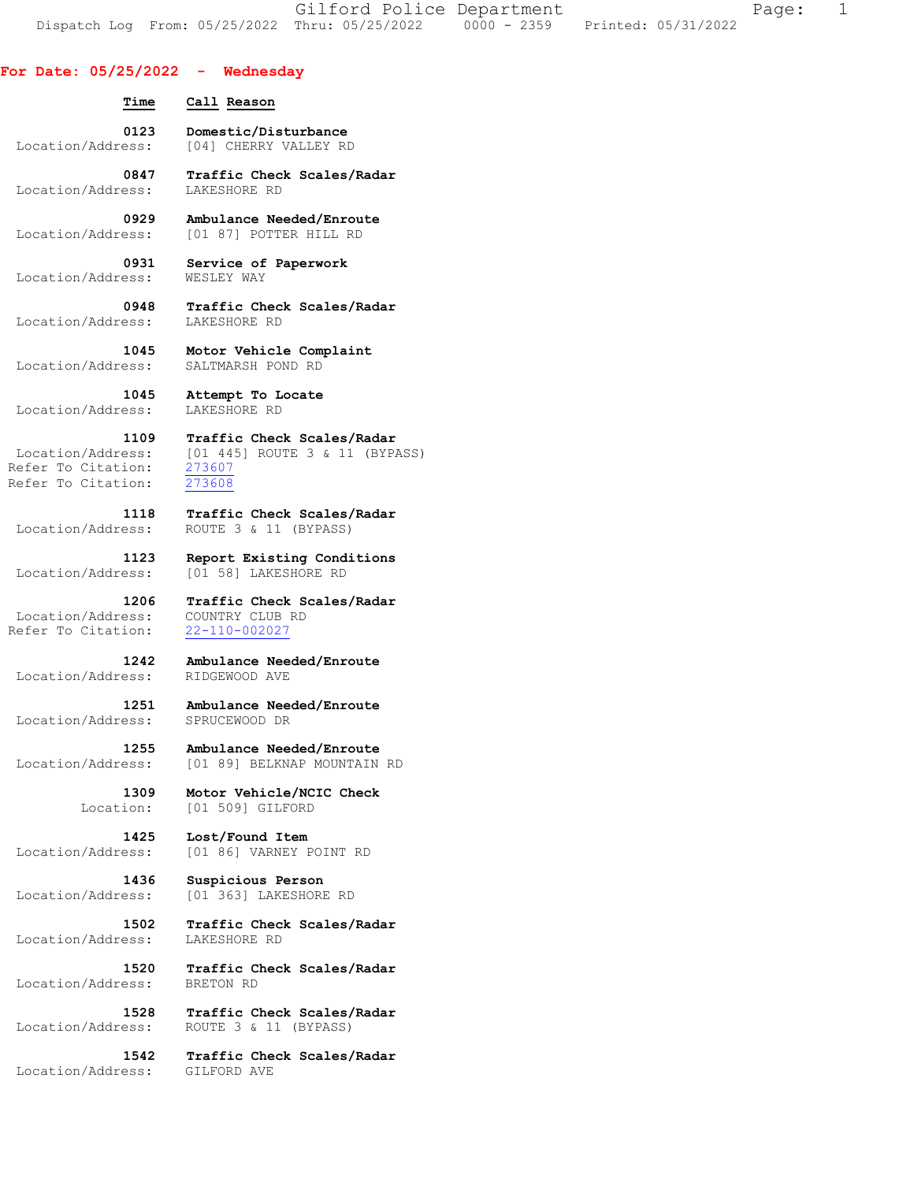Gilford Police Department Fage: 1 Dispatch Log From: 05/25/2022 Thru: 05/25/2022 0000 - 2359 Printed: 05/31/2022

## **For Date: 05/25/2022 - Wednesday**

| Time | Call Reason                             |  |
|------|-----------------------------------------|--|
| 0123 | Domestic/Disturbance                    |  |
|      | Location/Address: [04] CHERRY VALLEY RD |  |

 **0847 Traffic Check Scales/Radar**  Location/Address: LAKESHORE RD

 **0929 Ambulance Needed/Enroute**  Location/Address: [01 87] POTTER HILL RD

 **0931 Service of Paperwork**  Location/Address: WESLEY WAY

 **0948 Traffic Check Scales/Radar**  Location/Address:

 **1045 Motor Vehicle Complaint**  Location/Address: SALTMARSH POND RD

 **1045 Attempt To Locate** 

Location/Address: [01 445] ROUTE 3 & 11 (BYPASS)

 **1123 Report Existing Conditions**  Location/Address: [01 58] LAKESHORE RD

 **1206 Traffic Check Scales/Radar** 

 **1242 Ambulance Needed/Enroute** 

 **1251 Ambulance Needed/Enroute**  Location/Address: SPRUCEWOOD DR

Location/Address: [01 89] BELKNAP MOUNTAIN RD

Location: [01 509] GILFORD

**1425 Lost/Found Item**<br>Location/Address: [01 86] VARNEY E Location/Address: [01 86] VARNEY POINT RD

**1436 Suspicious Person**<br>Location/Address: [01 363] LAKESHORE

 **1502 Traffic Check Scales/Radar**  Location/Address: LAKESHORE RD

 **1520 Traffic Check Scales/Radar** 

 **1528 Traffic Check Scales/Radar**  Location/Address: ROUTE 3 & 11 (BYPASS)

 **1542 Traffic Check Scales/Radar**  Location/Address: GILFORD AVE

 **1109 Traffic Check Scales/Radar** 

 Refer To Citation: 273607 Refer To Citation: 273608

Location/Address:

 **1118 Traffic Check Scales/Radar**  Location/Address: ROUTE 3 & 11 (BYPASS)

Location/Address: COUNTRY CLUB RD<br>Refer To Citation: 22-110-002027 Refer To Citation:

Location/Address:

Location/Address:

 **1255 Ambulance Needed/Enroute** 

 **1309 Motor Vehicle/NCIC Check** 

[01 363] LAKESHORE RD